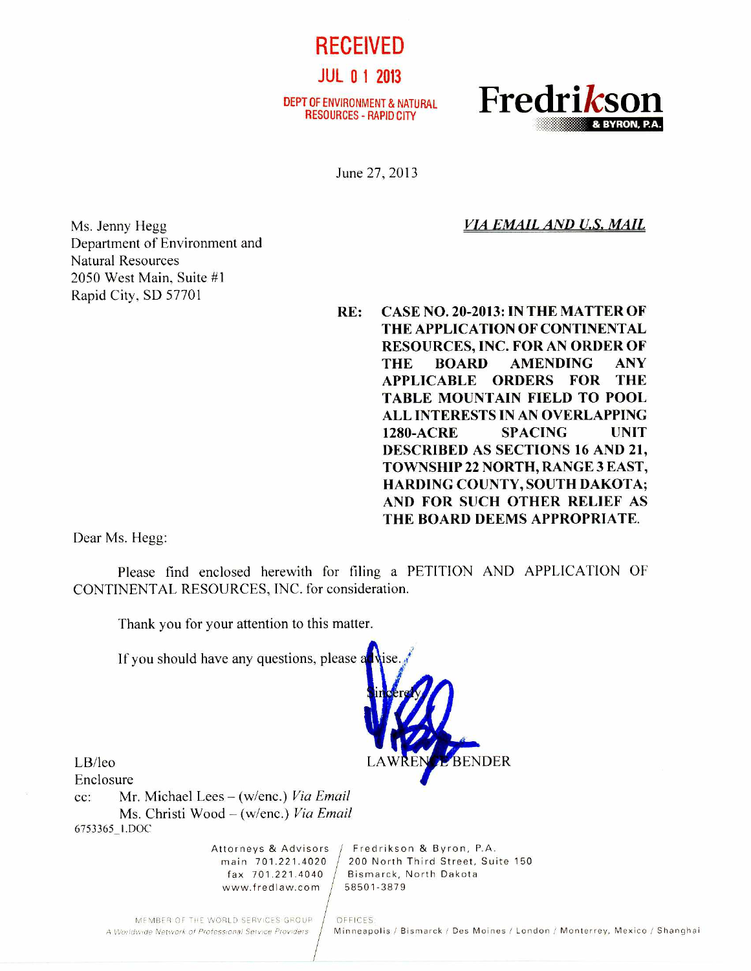RECEIVED JUL 0 1 2013

DEPT OF ENVIRONMENT & NATURAL<br>RESOURCES - RAPID CITY



June 27, 2013

*VIA EMAIL AND U.S. MAIL* 

Ms. Jenny Hegg Department of Environment and Natural Resources 2050 West Main, Suite #1 Rapid City, SD 57701

**RE: CASE NO. 20-2013: IN THE MATTER OF THE APPLICATION OF CONTINENTAL RESOURCES, INC. FOR AN ORDER OF THE BOARD AMENDING ANY APPLICABLE ORDERS FOR THE TABLE MOUNTAIN FIELD TO POOL ALL INTERESTS IN AN OVERLAPPING 1280-ACRE SPACING UNIT DESCRIBED AS SECTIONS 16 AND 21, TOWNSHIP 22 NORTH, RANGE 3 EAST, HARDING COUNTY, SOUTH DAKOTA; AND FOR SUCH OTHER RELIEF AS THE BOARD DEEMS APPROPRIATE.** 

Dear Ms. Hegg:

Please find enclosed herewith for filing a PETITION AND APPLICATION OF CONTINENTAL RESOURCES, INC. for consideration.

Thank you for your attention to this matter.

If you should have any questions, please a



Enclosure cc: Mr. Michael Lees — (w/enc.) *Via Email*  Ms. Christi Wood — (w/enc.) *Via Email*  6753365\_1.DOC

www.fredlaw.com / 58501-3879

Attorneys & Advisors / Fredrikson & Byron, P.A. main 701.221.4020 200 North Third Street, Suite 150 fax 701.221.4040 Bismarck, North Dakota

MEMBER OF THE WORLD SERVICES GROUP | OFFICES:<br>A Worldwide Network of Professional Service Providers | Minneape

Minneapolis / Bismarck / Des Moines / London / Monterrey, Mexico / Shanghai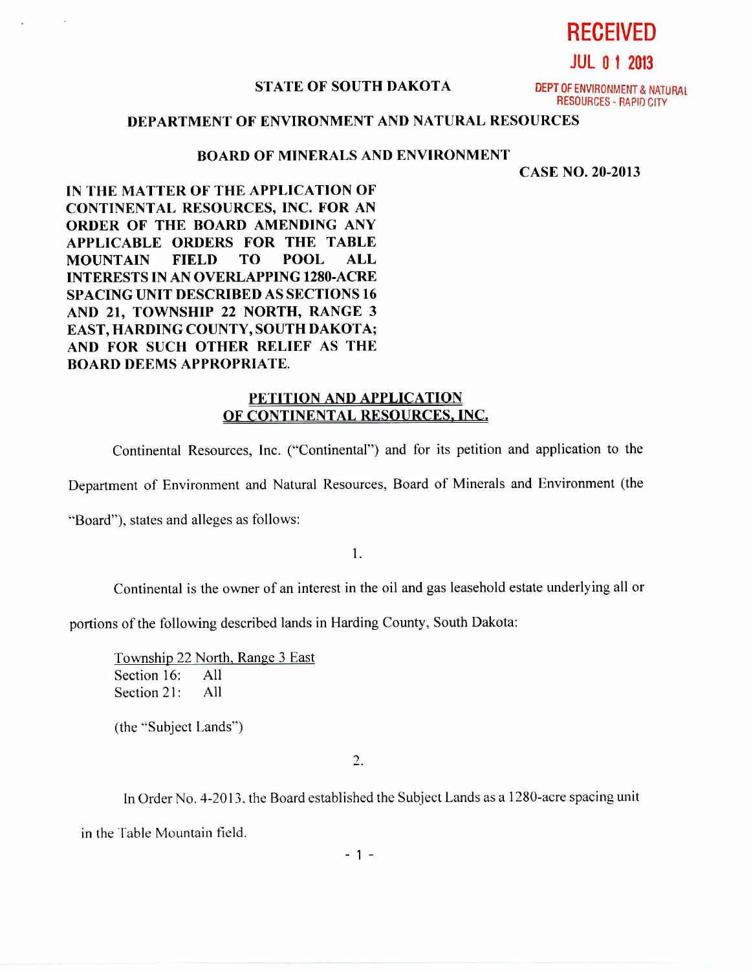**RECEIVED** 

**JUL 0 1 2013** 

## **STATE OF SOUTH DAKOTA DEPT OF ENVIRONMENT & NATURAL**

RESOURCES - RAPID CITY

## **DEPARTMENT OF ENVIRONMENT AND NATURAL RESOURCES**

## **BOARD OF MINERALS AND ENVIRONMENT**

**CASE NO. 20-2013** 

**IN THE MATTER OF THE APPLICATION OF CONTINENTAL RESOURCES, INC. FOR AN ORDER OF THE BOARD AMENDING ANY APPLICABLE ORDERS FOR THE TABLE MOUNTAIN FIELD TO POOL ALL INTERESTS IN AN OVERLAPPING 1280-ACRE SPACING UNIT DESCRIBED AS SECTIONS 16 AND 21, TOWNSHIP 22 NORTH, RANGE 3 EAST, HARDING COUNTY, SOUTH DAKOTA; AND FOR SUCH OTHER RELIEF AS THE BOARD DEEMS APPROPRIATE.** 

## **PETITION AND APPLICATION OF CONTINENTAL RESOURCES, INC.**

Continental Resources, Inc. ("Continental") and for its petition and application to the

Department of Environment and Natural Resources, Board of Minerals and Environment (the

"Board"), states and alleges as follows:

1.

Continental is the owner of an interest in the oil and gas leasehold estate underlying all or

portions of the following described lands in Harding County, South Dakota:

Township 22 North, Range 3 East Section 16: All Section 21: All

(the "Subject Lands")

2.

In Order No. 4-2013. the Board established the Subject Lands as a 1280-acre spacing unit

in the Table Mountain field.

 $-1 -$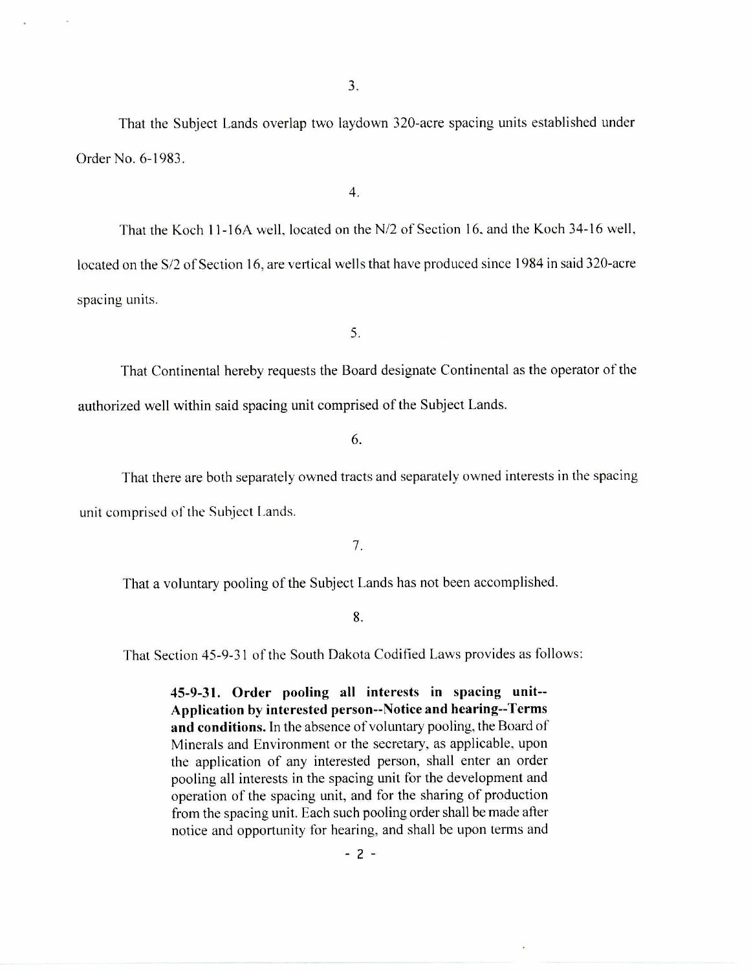That the Subject Lands overlap two laydown 320-acre spacing units established under Order No. 6-1983.

4.

That the Koch 11 -16A well, located on the N/2 of Section 16, and the Koch 34-16 well, located on the S/2 of Section 16, are vertical wells that have produced since 1984 in said 320-acre spacing units.

5.

That Continental hereby requests the Board designate Continental as the operator of the authorized well within said spacing unit comprised of the Subject Lands.

6.

That there are both separately owned tracts and separately owned interests in the spacing unit comprised of the Subject Lands.

7.

That a voluntary pooling of the Subject Lands has not been accomplished.

8.

That Section 45-9-31 of the South Dakota Codified Laws provides as follows:

**45-9-31. Order pooling all interests in spacing unit-- Application by interested person--Notice and hearing--Terms and conditions.** In the absence of voluntary pooling, the Board of Minerals and Environment or the secretary, as applicable, upon the application of any interested person, shall enter an order pooling all interests in the spacing unit for the development and operation of the spacing unit, and for the sharing of production from the spacing unit. Each such pooling order shall be made after notice and opportunity for hearing, and shall be upon terms and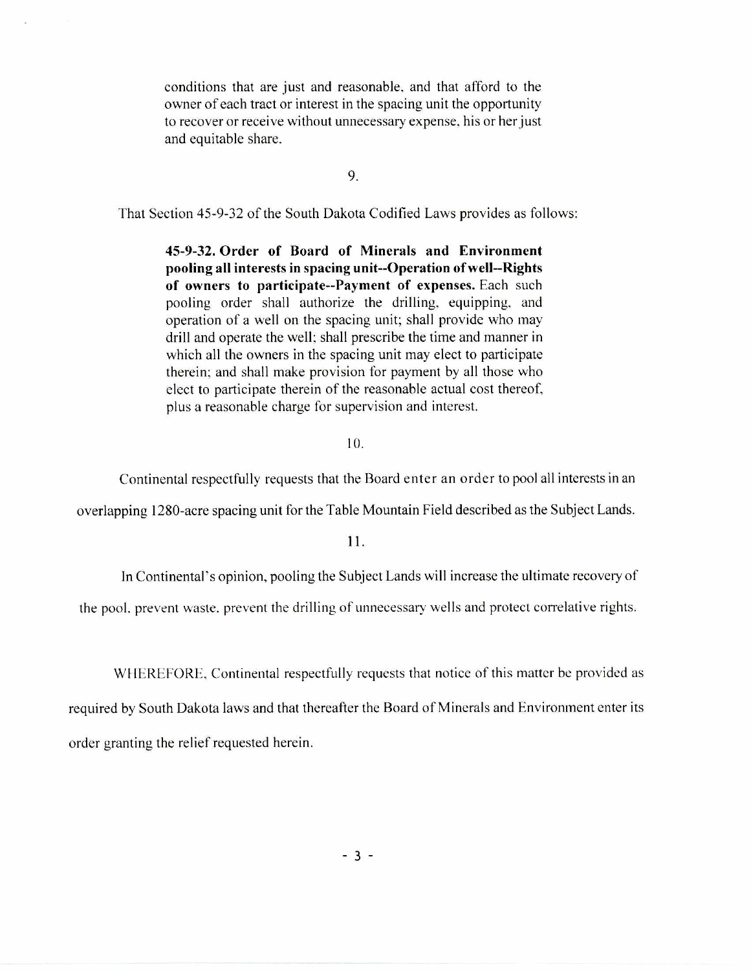conditions that are just and reasonable, and that afford to the owner of each tract or interest in the spacing unit the opportunity to recover or receive without unnecessary expense, his or her just and equitable share.

9.

That Section 45-9-32 of the South Dakota Codified Laws provides as follows:

**45-9-32. Order of Board of Minerals and Environment pooling all interests in spacing unit--Operation of well--Rights of owners to participate--Payment of expenses.** Each such pooling order shall authorize the drilling, equipping, and operation of a well on the spacing unit; shall provide who may drill and operate the well; shall prescribe the time and manner in which all the owners in the spacing unit may elect to participate therein; and shall make provision for payment by all those who elect to participate therein of the reasonable actual cost thereof, plus a reasonable charge for supervision and interest.

10.

Continental respectfully requests that the Board enter an order to pool all interests in an overlapping 1280-acre spacing unit for the Table Mountain Field described as the Subject Lands.

11.

In Continental's opinion, pooling the Subject Lands will increase the ultimate recovery of

the pool. prevent waste. prevent the drilling of unnecessary wells and protect correlative rights.

WHEREFORE, Continental respectfully requests that notice of this matter be provided as

required by South Dakota laws and that thereafter the Board of Minerals and Environment enter its order granting the relief requested herein.